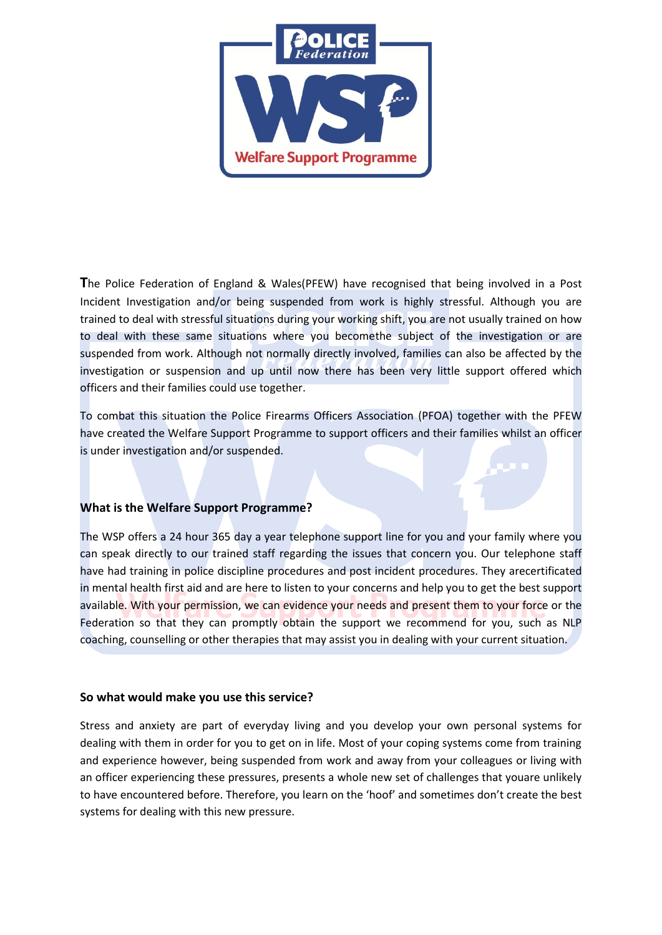

**T**he Police Federation of England & Wales(PFEW) have recognised that being involved in a Post Incident Investigation and/or being suspended from work is highly stressful. Although you are trained to deal with stressful situations during your working shift, you are not usually trained on how to deal with these same situations where you becomethe subject of the investigation or are suspended from work. Although not normally directly involved, families can also be affected by the investigation or suspension and up until now there has been very little support offered which officers and their families could use together.

To combat this situation the Police Firearms Officers Association (PFOA) together with the PFEW have created the Welfare Support Programme to support officers and their families whilst an officer is under investigation and/or suspended.

## **What is the Welfare Support Programme?**

The WSP offers a 24 hour 365 day a year telephone support line for you and your family where you can speak directly to our trained staff regarding the issues that concern you. Our telephone staff have had training in police discipline procedures and post incident procedures. They arecertificated in mental health first aid and are here to listen to your concerns and help you to get the best support available. With your permission, we can evidence your needs and present them to your force or the Federation so that they can promptly obtain the support we recommend for you, such as NLP coaching, counselling or other therapies that may assist you in dealing with your current situation.

## **So what would make you use this service?**

Stress and anxiety are part of everyday living and you develop your own personal systems for dealing with them in order for you to get on in life. Most of your coping systems come from training and experience however, being suspended from work and away from your colleagues or living with an officer experiencing these pressures, presents a whole new set of challenges that youare unlikely to have encountered before. Therefore, you learn on the 'hoof' and sometimes don't create the best systems for dealing with this new pressure.